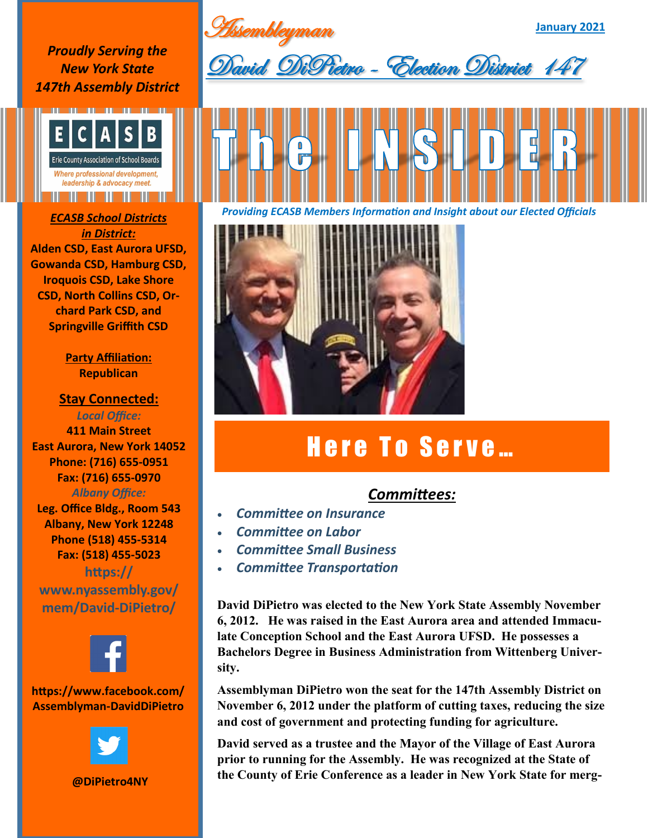**Assembleyman** 

**January 2021**

*Proudly Serving the New York State 147th Assembly District*



## *in District:* **Alden CSD, East Aurora UFSD, Gowanda CSD, Hamburg CSD, Iroquois CSD, Lake Shore CSD, North Collins CSD, Orchard Park CSD, and Springville Griffith CSD**

**Party Affiliation: Republican** 

**Stay Connected:**  *Local Office:* **411 Main Street East Aurora, New York 14052 Phone: (716) 655-0951 Fax: (716) 655-0970** *Albany Office:*  **Leg. Office Bldg., Room 543**

**Albany, New York 12248 Phone (518) 455-5314 Fax: (518) 455-5023 https://**

**www.nyassembly.gov/ mem/David-DiPietro/**



## **https://www.facebook.com/ Assemblyman-DavidDiPietro**



**@DiPietro4NY**





*Providing ECASB Members Information and Insight about our Elected Officials ECASB School Districts* 



## Here To Serve...

## *Committees:*

- *Committee on Insurance*
- *Committee on Labor*
- *Committee Small Business*
- *Committee Transportation*

**David DiPietro was elected to the New York State Assembly November 6, 2012. He was raised in the East Aurora area and attended Immaculate Conception School and the East Aurora UFSD. He possesses a Bachelors Degree in Business Administration from Wittenberg University.** 

**Assemblyman DiPietro won the seat for the 147th Assembly District on November 6, 2012 under the platform of cutting taxes, reducing the size and cost of government and protecting funding for agriculture.** 

**David served as a trustee and the Mayor of the Village of East Aurora prior to running for the Assembly. He was recognized at the State of the County of Erie Conference as a leader in New York State for merg-**